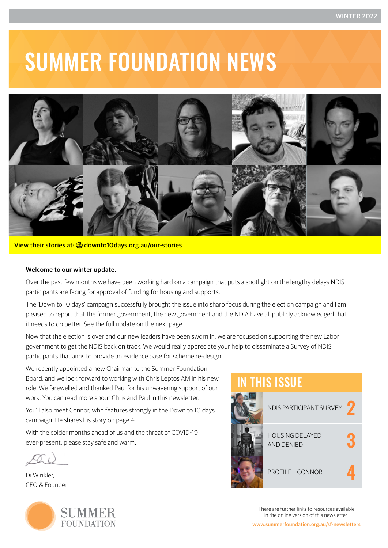# SUMMER FOUNDATION NEWS



#### View their stories at: **the [downto10days.org.au/our-stories](https://www.downto10days.org.au/our-stories)**

#### Welcome to our winter update.

Over the past few months we have been working hard on a campaign that puts a spotlight on the lengthy delays NDIS participants are facing for approval of funding for housing and supports.

The 'Down to 10 days' campaign successfully brought the issue into sharp focus during the election campaign and I am pleased to report that the former government, the new government and the NDIA have all publicly acknowledged that it needs to do better. See the full update on the next page.

Now that the election is over and our new leaders have been sworn in, we are focused on supporting the new Labor government to get the NDIS back on track. We would really appreciate your help to disseminate a Survey of NDIS participants that aims to provide an evidence base for scheme re-design.

We recently appointed a new Chairman to the Summer Foundation Board, and we look forward to working with Chris Leptos AM in his new role. We farewelled and thanked Paul for his unwavering support of our work. You can read more about Chris and Paul in this newsletter.

You'll also meet Connor, who features strongly in the Down to 10 days campaign. He shares his story on page 4.

With the colder months ahead of us and the threat of COVID-19 ever-present, please stay safe and warm.

Di Winkler, CEO & Founder





There are further links to resources available in the online version of this newsletter: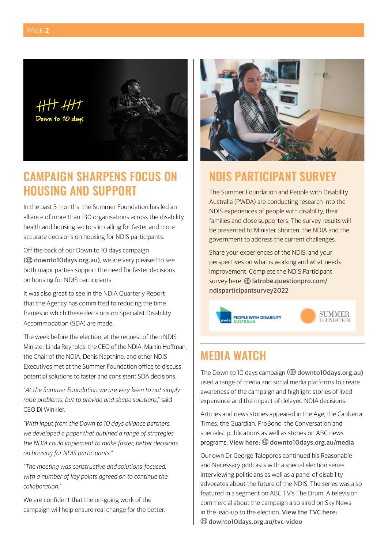

## CAMPAIGN SHARPENS FOCUS ON HOUSING AND SUPPORT

In the past 3 months, the Summer Foundation has led an alliance of more than 130 organisations across the disability, health and housing sectors in calling for faster and more accurate decisions on housing for NDIS participants.

Off the back of our Down to 10 days campaign (H) downto10 days.org.au), we are very pleased to see both major parties support the need for faster decisions on housing for NDIS participants.

It was also great to see in the NDIA Quarterly Report that the Agency has committed to reducing the time frames in which these decisions on Specialist Disability Accommodation (SDA) are made.

The week before the election, at the request of then NDIS Minister Linda Reynolds, the CEO of the NDIA, Martin Hoffman, the Chair of the NDIA, Denis Napthine, and other NDIS Executives met at the Summer Foundation office to discuss potential solutions to faster and consistent SDA decisions.

"*At the Summer Foundation we are very keen to not simply raise problems, but to provide and shape solutions*," said CEO Di Winkler.

*"With input from the Down to 10 days alliance partners, we developed a paper that outlined a range of strategies the NDIA could implement to make faster, better decisions on housing for NDIS participants."* 

"*The meeting was constructive and solutions-focused, with a number of key points agreed on to continue the collaboration.*"

We are confident that the on-going work of the campaign will help ensure real change for the better.



### NDIS PARTICIPANT SURVEY

The Summer Foundation and People with Disability Australia (PWDA) are conducting research into the NDIS experiences of people with disability, their families and close supporters. The survey results will be presented to Minister Shorten, the NDIA and the government to address the current challenges.

Share your experiences of the NDIS, and your perspectives on what is working and what needs improvement. Complete the NDIS Participant survey here: *D* [latrobe.questionpro.com/](https://latrobe.questionpro.com/a/TakeSurvey?tt=/TAqnmBFfHg%3D) [ndisparticipantsurvey2022](https://latrobe.questionpro.com/a/TakeSurvey?tt=/TAqnmBFfHg%3D)



### MEDIA WATCH

The Down to 10 days campaign  $(\bigoplus$  [downto10days.org.au](https://www.downto10days.org.au/)) used a range of media and social media platforms to create awareness of the campaign and highlight stories of lived experience and the impact of delayed NDIA decisions.

Articles and news stories appeared in the Age, the Canberra Times, the Guardian, ProBono, the Conversation and specialist publications as well as stories on ABC news programs. View here:  $\bigoplus$  [downto10days.org.au/med](https://www.downto10days.org.au/media)ia

Our own Dr George Taleporos continued his Reasonable and Necessary podcasts with a special election series interviewing politicians as well as a panel of disability advocates about the future of the NDIS. The series was also featured in a segment on ABC TV's The Drum. A television commercial about the campaign also aired on Sky News in the lead-up to the election. View the TVC here:  [downto10days.org.au/tvc-video](https://www.downto10days.org.au/tvc-video)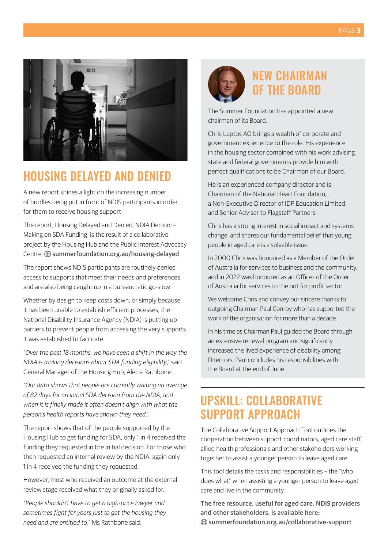

### HOUSING DELAYED AND DENIED

A new report shines a light on the increasing number of hurdles being put in front of NDIS participants in order for them to receive housing support.

The report, Housing Delayed and Denied, NDIA Decision-Making on SDA Funding, is the result of a collaborative project by the Housing Hub and the Public Interest Advocacy Centre. *example* foundation.org.au/housing-delayed

The report shows NDIS participants are routinely denied access to supports that meet their needs and preferences, and are also being caught up in a bureaucratic go-slow.

Whether by design to keep costs down, or simply because it has been unable to establish efficient processes, the National Disability Insurance Agency (NDIA) is putting up barriers to prevent people from accessing the very supports it was established to facilitate.

"*Over the past 18 months, we have seen a shift in the way the NDIA is making decisions about SDA funding eligibility*," said General Manager of the Housing Hub, Alecia Rathbone.

"*Our data shows that people are currently waiting an average of 82 days for an initial SDA decision from the NDIA, and when it is finally made it often doesn't align with what the person's health reports have shown they need*."

The report shows that of the people supported by the Housing Hub to get funding for SDA, only 1 in 4 received the funding they requested in the initial decision. For those who then requested an internal review by the NDIA, again only 1 in 4 received the funding they requested.

However, most who received an outcome at the external review stage received what they originally asked for.

*"People shouldn't have to get a high-price lawyer and sometimes fight for years just to get the housing they need and are entitled to,*" Ms Rathbone said.



# NEW CHAIRMAN OF THE BOARD

The Summer Foundation has appointed a new chairman of its Board.

Chris Leptos AO brings a wealth of corporate and government experience to the role. His experience in the housing sector combined with his work advising state and federal governments provide him with perfect qualifications to be Chairman of our Board.

He is an experienced company director and is Chairman of the National Heart Foundation, a Non-Executive Director of IDP Education Limited, and Senior Adviser to Flagstaff Partners.

Chris has a strong interest in social impact and systems change, and shares our fundamental belief that young people in aged care is a solvable issue.

In 2000 Chris was honoured as a Member of the Order of Australia for services to business and the community, and in 2022 was honoured as an Officer of the Order of Australia for services to the not for profit sector.

We welcome Chris and convey our sincere thanks to outgoing Chairman Paul Conroy who has supported the work of the organisation for more than a decade.

In his time as Chairman Paul guided the Board through an extensive renewal program and significantly increased the lived experience of disability among Directors. Paul concludes his responsibilities with the Board at the end of June.

## UPSKILL: COLLABORATIVE SUPPORT APPROACH

The Collaborative Support Approach Tool outlines the cooperation between support coordinators, aged care staff, allied health professionals and other stakeholders working together to assist a younger person to leave aged care.

This tool details the tasks and responsibilities – the "who does what" when assisting a younger person to leave aged care and live in the community.

T[he free resource, useful for aged care, NDIS providers](https://www.summerfoundation.org.au/resources/collaborative-support-approach-working-together-to-help-young-people-leave-aged-care/)  [and other stakeholders, is available here](https://www.summerfoundation.org.au/resources/collaborative-support-approach-working-together-to-help-young-people-leave-aged-care/): [summerfoundation.org.au/collaborative-support](https://www.summerfoundation.org.au/resources/collaborative-support-approach-working-together-to-help-young-people-leave-aged-care/)